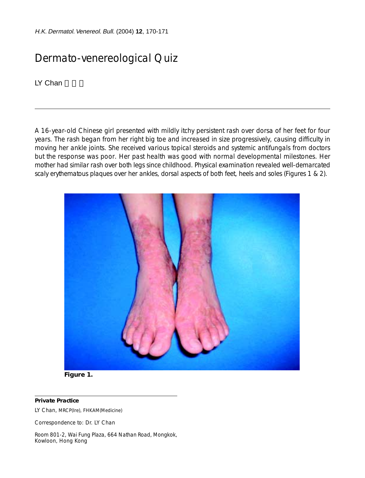H.K. Dermatol. Venereol. Bull. (2004) **12**, 170-171

## Dermato-venereological Quiz

LY Chan

A 16-year-old Chinese girl presented with mildly itchy persistent rash over dorsa of her feet for four years. The rash began from her right big toe and increased in size progressively, causing difficulty in moving her ankle joints. She received various topical steroids and systemic antifungals from doctors but the response was poor. Her past health was good with normal developmental milestones. Her mother had similar rash over both legs since childhood. Physical examination revealed well-demarcated scaly erythematous plaques over her ankles, dorsal aspects of both feet, heels and soles (Figures 1 & 2).





## **Private Practice**

LY Chan, MRCP(Ire), FHKAM(Medicine)

Correspondence to: Dr. LY Chan

Room 801-2, Wai Fung Plaza, 664 Nathan Road, Mongkok, Kowloon, Hong Kong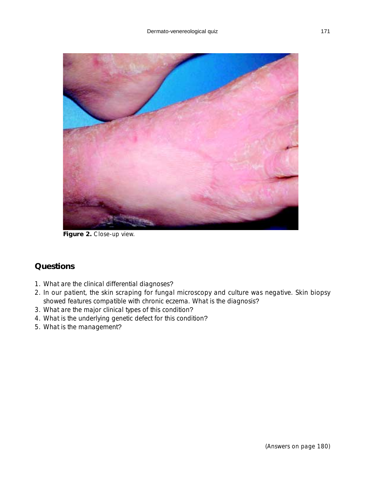

Figure 2. Close-up view.

## **Questions**

- 1. What are the clinical differential diagnoses?
- 2. In our patient, the skin scraping for fungal microscopy and culture was negative. Skin biopsy showed features compatible with chronic eczema. What is the diagnosis?
- 3. What are the major clinical types of this condition?
- 4. What is the underlying genetic defect for this condition?
- 5. What is the management?